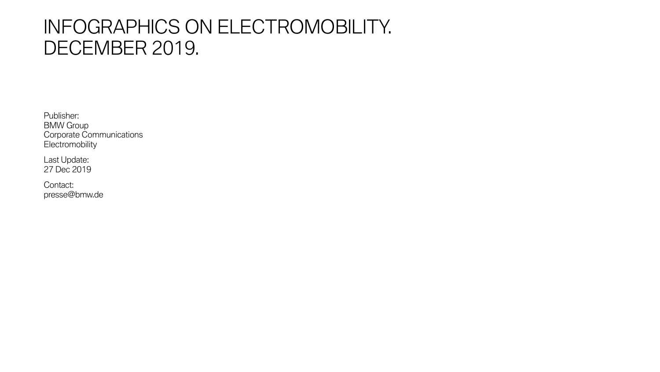## INFOGRAPHICS ON ELECTROMOBILITY. DECEMBER 2019.

Publisher: BMW Group Corporate Communications **Electromobility** 

Last Update: 27 Dec 2019

Contact: presse@bmw.de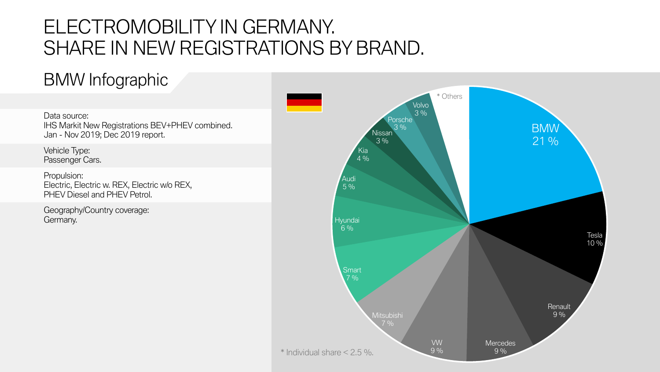Data source: 2008 and 2008 and 2008 and 2008 and 2008 and 2008 and 2008 and 2008 and 2008 and 2008 and 30  $\mu$ IHS Markit New Registrations BEV+PHEV combined. Jan - Nov 2019; Dec 2019 report.



Vehicle Type: Passenger Cars.

Propulsion: Electric, Electric w. REX, Electric w/o REX, PHEV Diesel and PHEV Petrol.

Geography/Country coverage: Germany.



#### BMW Infographic

# ELECTROMOBILITY IN GERMANY. SHARE IN NEW REGISTRATIONS BY BRAND.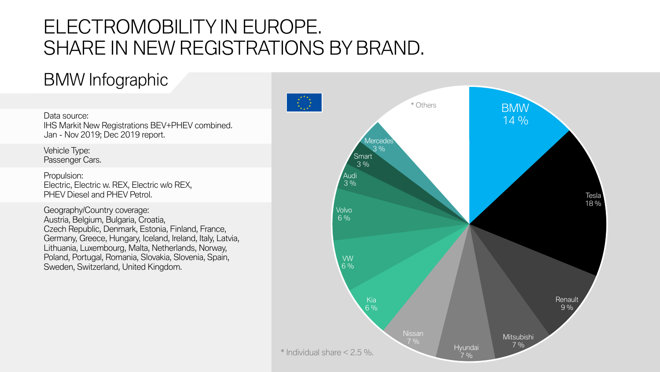Data source: IHS Markit New Registrations BEV+PHEV combined. Jan - Nov 2019; Dec 2019 report.

#### BMW Infographic

Vehicle Type: Passenger Cars.

Propulsion: Electric, Electric w. REX, Electric w/o REX, PHEV Diesel and PHEV Petrol.



Geography/Country coverage: Austria, Belgium, Bulgaria, Croatia, Czech Republic, Denmark, Estonia, Finland, France, Germany, Greece, Hungary, Iceland, Ireland, Italy, Latvia, Lithuania, Luxembourg, Malta, Netherlands, Norway, Poland, Portugal, Romania, Slovakia, Slovenia, Spain, Sweden, Switzerland, United Kingdom.

## ELECTROMOBILITY IN EUROPE. SHARE IN NEW REGISTRATIONS BY BRAND.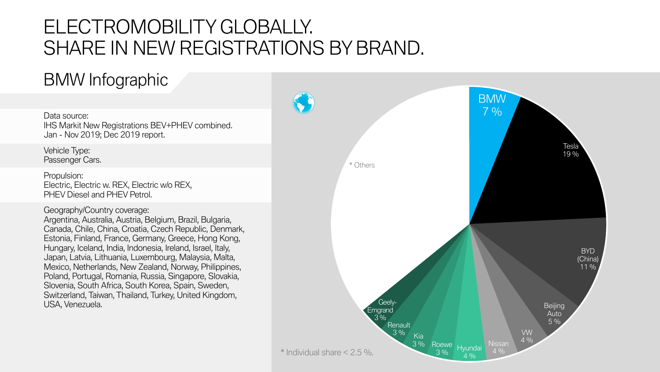

Data source: IHS Markit New Registrations BEV+PHEV combined. Jan - Nov 2019; Dec 2019 report.

#### BMW Infographic

Vehicle Type: Passenger Cars.

Propulsion: Electric, Electric w. REX, Electric w/o REX, PHEV Diesel and PHEV Petrol.

Geography/Country coverage: Argentina, Australia, Austria, Belgium, Brazil, Bulgaria, Canada, Chile, China, Croatia, Czech Republic, Denmark, Estonia, Finland, France, Germany, Greece, Hong Kong, Hungary, Iceland, India, Indonesia, Ireland, Israel, Italy, Japan, Latvia, Lithuania, Luxembourg, Malaysia, Malta, Mexico, Netherlands, New Zealand, Norway, Philippines, Poland, Portugal, Romania, Russia, Singapore, Slovakia, Slovenia, South Africa, South Korea, Spain, Sweden, Switzerland, Taiwan, Thailand, Turkey, United Kingdom, USA, Venezuela.

# ELECTROMOBILITY GLOBALLY. SHARE IN NEW REGISTRATIONS BY BRAND.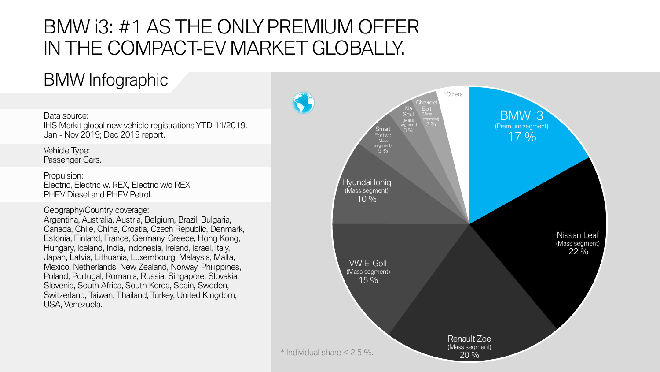

### BMW Infographic

Data source: IHS Markit global new vehicle registrations YTD 11/2019. Jan - Nov 2019; Dec 2019 report.

Vehicle Type: Passenger Cars.

Propulsion: Electric, Electric w. REX, Electric w/o REX, PHEV Diesel and PHEV Petrol.

Geography/Country coverage: Argentina, Australia, Austria, Belgium, Brazil, Bulgaria, Canada, Chile, China, Croatia, Czech Republic, Denmark, Estonia, Finland, France, Germany, Greece, Hong Kong, Hungary, Iceland, India, Indonesia, Ireland, Israel, Italy, Japan, Latvia, Lithuania, Luxembourg, Malaysia, Malta, Mexico, Netherlands, New Zealand, Norway, Philippines, Poland, Portugal, Romania, Russia, Singapore, Slovakia, Slovenia, South Africa, South Korea, Spain, Sweden, Switzerland, Taiwan, Thailand, Turkey, United Kingdom, USA, Venezuela.

## BMW i3: #1 AS THE ONLY PREMIUM OFFER IN THE COMPACT-EV MARKET GLOBALLY.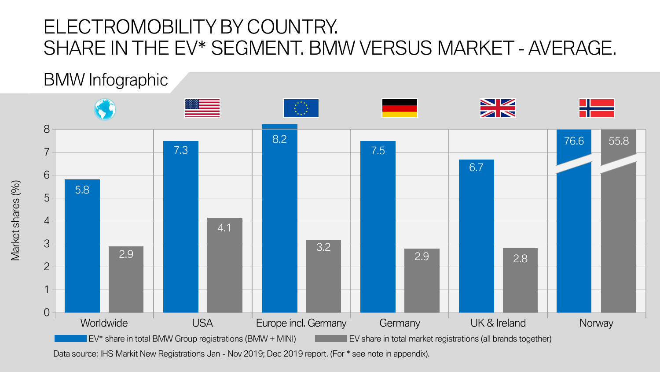Market shares (%) Market shares (%)

#### BMW Infographic



# ELECTROMOBILITY BY COUNTRY. SHARE IN THE EV\* SEGMENT. BMW VERSUS MARKET- AVERAGE.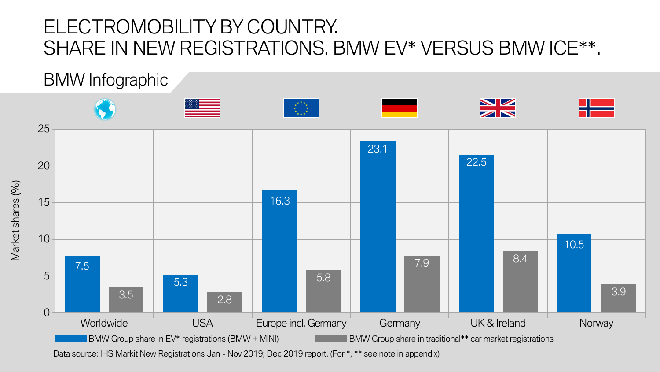Market shares (%) Market shares (%)

#### BMW Infographic



## ELECTROMOBILITY BY COUNTRY. SHARE IN NEW REGISTRATIONS. BMW EV\* VERSUS BMW ICE\*\*.